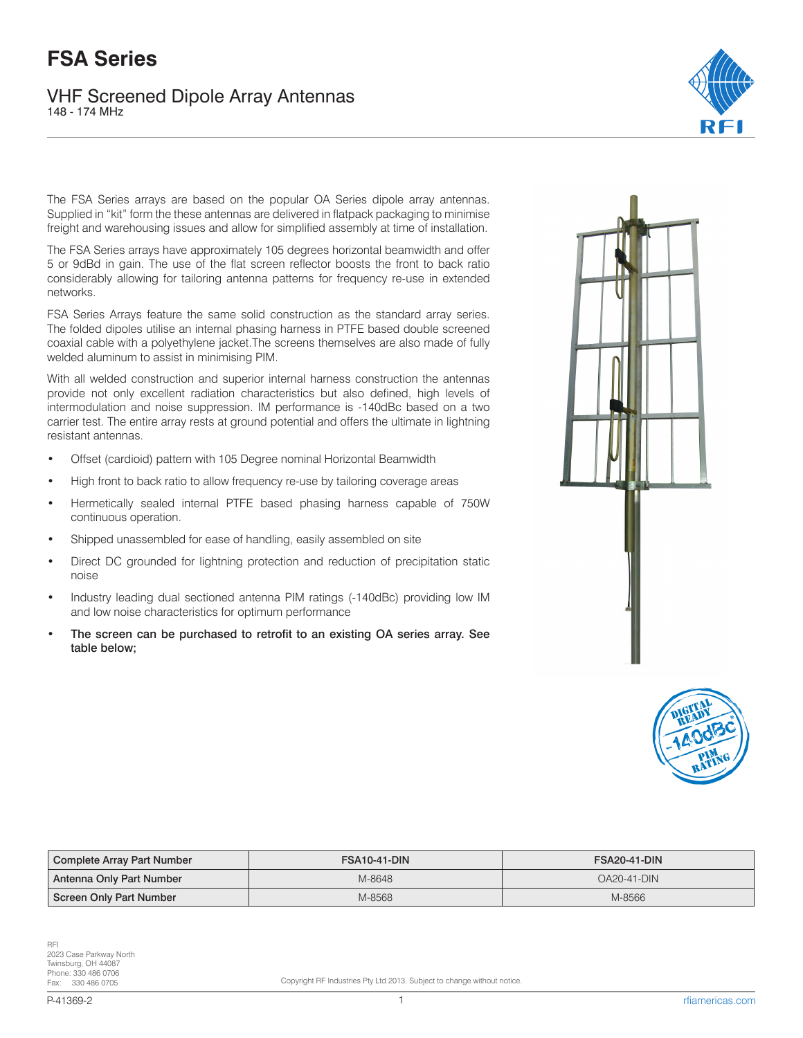## **FSA Series**

VHF Screened Dipole Array Antennas 148 - 174 MHz



The FSA Series arrays are based on the popular OA Series dipole array antennas. Supplied in "kit" form the these antennas are delivered in flatpack packaging to minimise freight and warehousing issues and allow for simplified assembly at time of installation.

The FSA Series arrays have approximately 105 degrees horizontal beamwidth and offer 5 or 9dBd in gain. The use of the flat screen reflector boosts the front to back ratio considerably allowing for tailoring antenna patterns for frequency re-use in extended networks.

FSA Series Arrays feature the same solid construction as the standard array series. The folded dipoles utilise an internal phasing harness in PTFE based double screened coaxial cable with a polyethylene jacket.The screens themselves are also made of fully welded aluminum to assist in minimising PIM.

With all welded construction and superior internal harness construction the antennas provide not only excellent radiation characteristics but also defined, high levels of intermodulation and noise suppression. IM performance is -140dBc based on a two carrier test. The entire array rests at ground potential and offers the ultimate in lightning resistant antennas.

- Offset (cardioid) pattern with 105 Degree nominal Horizontal Beamwidth
- High front to back ratio to allow frequency re-use by tailoring coverage areas
- Hermetically sealed internal PTFE based phasing harness capable of 750W continuous operation.
- Shipped unassembled for ease of handling, easily assembled on site
- Direct DC grounded for lightning protection and reduction of precipitation static noise
- Industry leading dual sectioned antenna PIM ratings (-140dBc) providing low IM and low noise characteristics for optimum performance
- The screen can be purchased to retrofit to an existing OA series array. See table below;





| Complete Array Part Number | <b>FSA10-41-DIN</b> | <b>FSA20-41-DIN</b> |
|----------------------------|---------------------|---------------------|
| Antenna Only Part Number   | M-8648              | <b>OA20-41-DIN</b>  |
| Screen Only Part Number    | M-8568              | M-8566              |